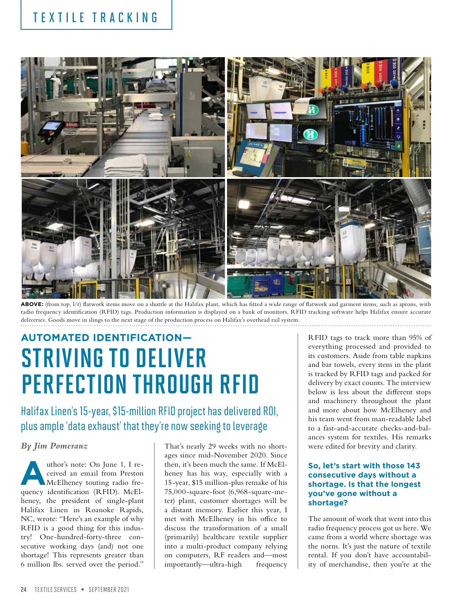## TEXTILE TRACKING



ABOVE: (from top,  $1/r$ ) flatwork items move on a shuttle at the Halifax plant, which has fitted a wide range of flatwork and garment items, such as aprons, with radio frequency identification (RFID) tags. Production information is displayed on a bank of monitors. RFID tracking software helps Halifax ensure accurate deliveries. Goods move in slings to the next stage of the production process on Halifax's overhead rail system.

# **AUTOMATED IDENTIFICATION—** STRIVING TO DELIVER PERFECTION THROUGH RFID

Halifax Linen's 15-year, \$15-million RFID project has delivered ROI, plus ample 'data exhaust' that they're now seeking to leverage

#### *By Jim Pomeranz*

wthor's note: On June 1, I received an email from Preston<br>
McElheney touting radio freceived an email from Preston quency identification (RFID). McElheney, the president of single-plant Halifax Linen in Roanoke Rapids, NC, wrote: "Here's an example of why RFID is a good thing for this industry! One-hundred-forty-three consecutive working days (and) not one shortage! This represents greater than 6 million lbs. served over the period."

That's nearly 29 weeks with no shortages since mid-November 2020. Since then, it's been much the same. If McElheney has his way, especially with a 15-year, \$15 million-plus remake of his 75,000-square-foot (6,968-square-meter) plant, customer shortages will be a distant memory. Earlier this year, I met with McElheney in his office to discuss the transformation of a small (primarily) healthcare textile supplier into a multi-product company relying on computers, RF readers and—most importantly—ultra-high frequency

RFID tags to track more than 95% of everything processed and provided to its customers. Aside from table napkins and bar towels, every item in the plant is tracked by RFID tags and packed for delivery by exact counts. The interview below is less about the different stops and machinery throughout the plant and more about how McElheney and his team went from man-readable label to a fast-and-accurate checks-and-balances system for textiles. His remarks were edited for brevity and clarity.

#### **So, let's start with those 143 consecutive days without a shortage. Is that the longest you've gone without a shortage?**

The amount of work that went into this radio frequency process got us here. We came from a world where shortage was the norm. It's just the nature of textile rental. If you don't have accountability of merchandise, then you're at the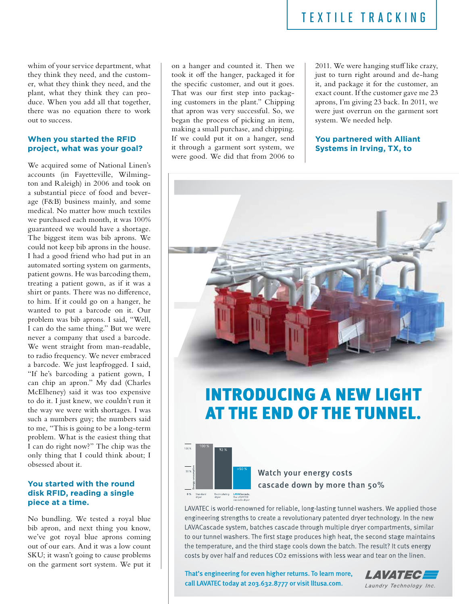whim of your service department, what they think they need, and the customer, what they think they need, and the plant, what they think they can produce. When you add all that together, there was no equation there to work out to success.

#### **When you started the RFID project, what was your goal?**

We acquired some of National Linen's accounts (in Fayetteville, Wilmington and Raleigh) in 2006 and took on a substantial piece of food and beverage (F&B) business mainly, and some medical. No matter how much textiles we purchased each month, it was 100% guaranteed we would have a shortage. The biggest item was bib aprons. We could not keep bib aprons in the house. I had a good friend who had put in an automated sorting system on garments, patient gowns. He was barcoding them, treating a patient gown, as if it was a shirt or pants. There was no difference, to him. If it could go on a hanger, he wanted to put a barcode on it. Our problem was bib aprons. I said, "Well, I can do the same thing." But we were never a company that used a barcode. We went straight from man-readable, to radio frequency. We never embraced a barcode. We just leapfrogged. I said, "If he's barcoding a patient gown, I can chip an apron." My dad (Charles McElheney) said it was too expensive to do it. I just knew, we couldn't run it the way we were with shortages. I was such a numbers guy; the numbers said to me, "This is going to be a long-term problem. What is the easiest thing that I can do right now?" The chip was the only thing that I could think about; I obsessed about it.

#### **You started with the round disk RFID, reading a single piece at a time.**

No bundling. We tested a royal blue bib apron, and next thing you know, we've got royal blue aprons coming out of our ears. And it was a low count SKU; it wasn't going to cause problems on the garment sort system. We put it

on a hanger and counted it. Then we took it off the hanger, packaged it for the specific customer, and out it goes. That was our first step into packaging customers in the plant." Chipping that apron was very successful. So, we began the process of picking an item, making a small purchase, and chipping. If we could put it on a hanger, send it through a garment sort system, we were good. We did that from 2006 to

2011. We were hanging stuff like crazy, just to turn right around and de-hang it, and package it for the customer, an exact count. If the customer gave me 23 aprons, I'm giving 23 back. In 2011, we were just overrun on the garment sort system. We needed help.

#### **You partnered with Alliant Systems in Irving, TX, to**



## **INTRODUCING A NEW LIGHT** AT THE END OF THE TUNNEL.



#### Watch your energy costs cascade down by more than 50%

LAVATEC is world-renowned for reliable, long-lasting tunnel washers. We applied those engineering strengths to create a revolutionary patented dryer technology. In the new LAVACascade system, batches cascade through multiple dryer compartments, similar to our tunnel washers. The first stage produces high heat, the second stage maintains the temperature, and the third stage cools down the batch. The result? It cuts energy costs by over half and reduces CO<sub>2</sub> emissions with less wear and tear on the linen.

That's engineering for even higher returns. To learn more, call LAVATEC today at 203.632.8777 or visit lltusa.com.<br>Laundry Technology Inc.

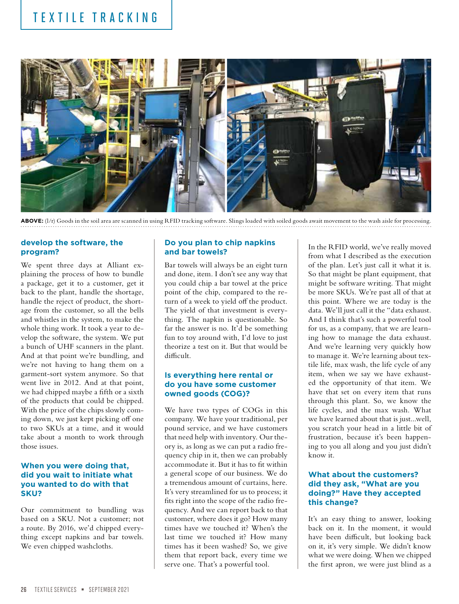### TEXTILE TRACKING



**ABOVE:** (l/r) Goods in the soil area are scanned in using RFID tracking software. Slings loaded with soiled goods await movement to the wash aisle for processing.

#### **develop the software, the program?**

We spent three days at Alliant explaining the process of how to bundle a package, get it to a customer, get it back to the plant, handle the shortage, handle the reject of product, the shortage from the customer, so all the bells and whistles in the system, to make the whole thing work. It took a year to develop the software, the system. We put a bunch of UHF scanners in the plant. And at that point we're bundling, and we're not having to hang them on a garment-sort system anymore. So that went live in 2012. And at that point, we had chipped maybe a fifth or a sixth of the products that could be chipped. With the price of the chips slowly coming down, we just kept picking off one to two SKUs at a time, and it would take about a month to work through those issues.

#### **When you were doing that, did you wait to initiate what you wanted to do with that SKU?**

Our commitment to bundling was based on a SKU. Not a customer; not a route. By 2016, we'd chipped everything except napkins and bar towels. We even chipped washcloths.

#### **Do you plan to chip napkins and bar towels?**

Bar towels will always be an eight turn and done, item. I don't see any way that you could chip a bar towel at the price point of the chip, compared to the return of a week to yield off the product. The yield of that investment is everything. The napkin is questionable. So far the answer is no. It'd be something fun to toy around with, I'd love to just theorize a test on it. But that would be difficult.

#### **Is everything here rental or do you have some customer owned goods (COG)?**

We have two types of COGs in this company. We have your traditional, per pound service, and we have customers that need help with inventory. Our theory is, as long as we can put a radio frequency chip in it, then we can probably accommodate it. But it has to fit within a general scope of our business. We do a tremendous amount of curtains, here. It's very streamlined for us to process; it fits right into the scope of the radio frequency. And we can report back to that customer, where does it go? How many times have we touched it? When's the last time we touched it? How many times has it been washed? So, we give them that report back, every time we serve one. That's a powerful tool.

In the RFID world, we've really moved from what I described as the execution of the plan. Let's just call it what it is. So that might be plant equipment, that might be software writing. That might be more SKUs. We're past all of that at this point. Where we are today is the data. We'll just call it the "data exhaust. And I think that's such a powerful tool for us, as a company, that we are learning how to manage the data exhaust. And we're learning very quickly how to manage it. We're learning about textile life, max wash, the life cycle of any item, when we say we have exhausted the opportunity of that item. We have that set on every item that runs through this plant. So, we know the life cycles, and the max wash. What we have learned about that is just...well, you scratch your head in a little bit of frustration, because it's been happening to you all along and you just didn't know it.

#### **What about the customers? did they ask, "What are you doing?" Have they accepted this change?**

It's an easy thing to answer, looking back on it. In the moment, it would have been difficult, but looking back on it, it's very simple. We didn't know what we were doing. When we chipped the first apron, we were just blind as a